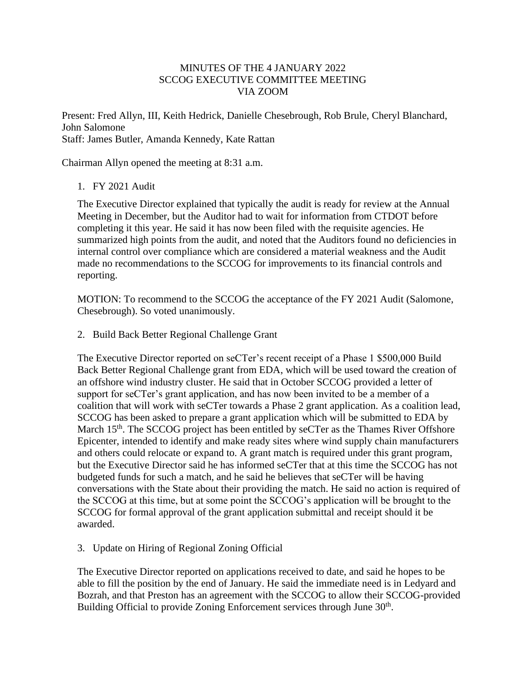## MINUTES OF THE 4 JANUARY 2022 SCCOG EXECUTIVE COMMITTEE MEETING VIA ZOOM

Present: Fred Allyn, III, Keith Hedrick, Danielle Chesebrough, Rob Brule, Cheryl Blanchard, John Salomone Staff: James Butler, Amanda Kennedy, Kate Rattan

Chairman Allyn opened the meeting at 8:31 a.m.

## 1. FY 2021 Audit

The Executive Director explained that typically the audit is ready for review at the Annual Meeting in December, but the Auditor had to wait for information from CTDOT before completing it this year. He said it has now been filed with the requisite agencies. He summarized high points from the audit, and noted that the Auditors found no deficiencies in internal control over compliance which are considered a material weakness and the Audit made no recommendations to the SCCOG for improvements to its financial controls and reporting.

MOTION: To recommend to the SCCOG the acceptance of the FY 2021 Audit (Salomone, Chesebrough). So voted unanimously.

2. Build Back Better Regional Challenge Grant

The Executive Director reported on seCTer's recent receipt of a Phase 1 \$500,000 Build Back Better Regional Challenge grant from EDA, which will be used toward the creation of an offshore wind industry cluster. He said that in October SCCOG provided a letter of support for seCTer's grant application, and has now been invited to be a member of a coalition that will work with seCTer towards a Phase 2 grant application. As a coalition lead, SCCOG has been asked to prepare a grant application which will be submitted to EDA by March  $15<sup>th</sup>$ . The SCCOG project has been entitled by seCTer as the Thames River Offshore Epicenter, intended to identify and make ready sites where wind supply chain manufacturers and others could relocate or expand to. A grant match is required under this grant program, but the Executive Director said he has informed seCTer that at this time the SCCOG has not budgeted funds for such a match, and he said he believes that seCTer will be having conversations with the State about their providing the match. He said no action is required of the SCCOG at this time, but at some point the SCCOG's application will be brought to the SCCOG for formal approval of the grant application submittal and receipt should it be awarded.

## 3. Update on Hiring of Regional Zoning Official

The Executive Director reported on applications received to date, and said he hopes to be able to fill the position by the end of January. He said the immediate need is in Ledyard and Bozrah, and that Preston has an agreement with the SCCOG to allow their SCCOG-provided Building Official to provide Zoning Enforcement services through June 30<sup>th</sup>.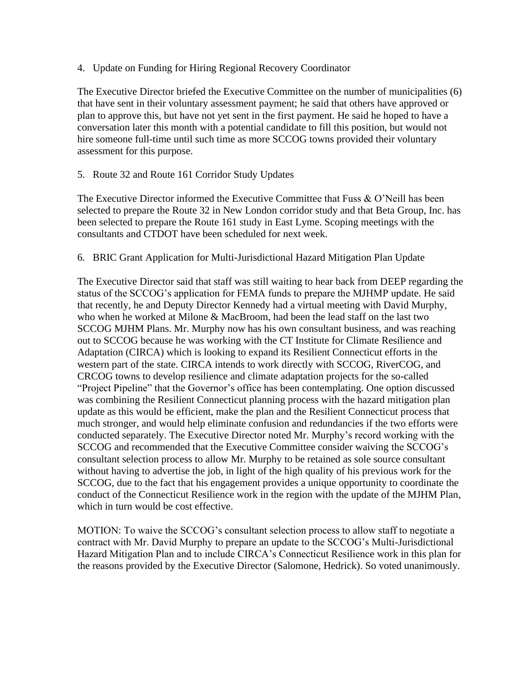4. Update on Funding for Hiring Regional Recovery Coordinator

The Executive Director briefed the Executive Committee on the number of municipalities (6) that have sent in their voluntary assessment payment; he said that others have approved or plan to approve this, but have not yet sent in the first payment. He said he hoped to have a conversation later this month with a potential candidate to fill this position, but would not hire someone full-time until such time as more SCCOG towns provided their voluntary assessment for this purpose.

5. Route 32 and Route 161 Corridor Study Updates

The Executive Director informed the Executive Committee that Fuss & O'Neill has been selected to prepare the Route 32 in New London corridor study and that Beta Group, Inc. has been selected to prepare the Route 161 study in East Lyme. Scoping meetings with the consultants and CTDOT have been scheduled for next week.

## 6. BRIC Grant Application for Multi-Jurisdictional Hazard Mitigation Plan Update

The Executive Director said that staff was still waiting to hear back from DEEP regarding the status of the SCCOG's application for FEMA funds to prepare the MJHMP update. He said that recently, he and Deputy Director Kennedy had a virtual meeting with David Murphy, who when he worked at Milone & MacBroom, had been the lead staff on the last two SCCOG MJHM Plans. Mr. Murphy now has his own consultant business, and was reaching out to SCCOG because he was working with the CT Institute for Climate Resilience and Adaptation (CIRCA) which is looking to expand its Resilient Connecticut efforts in the western part of the state. CIRCA intends to work directly with SCCOG, RiverCOG, and CRCOG towns to develop resilience and climate adaptation projects for the so-called "Project Pipeline" that the Governor's office has been contemplating. One option discussed was combining the Resilient Connecticut planning process with the hazard mitigation plan update as this would be efficient, make the plan and the Resilient Connecticut process that much stronger, and would help eliminate confusion and redundancies if the two efforts were conducted separately. The Executive Director noted Mr. Murphy's record working with the SCCOG and recommended that the Executive Committee consider waiving the SCCOG's consultant selection process to allow Mr. Murphy to be retained as sole source consultant without having to advertise the job, in light of the high quality of his previous work for the SCCOG, due to the fact that his engagement provides a unique opportunity to coordinate the conduct of the Connecticut Resilience work in the region with the update of the MJHM Plan, which in turn would be cost effective.

MOTION: To waive the SCCOG's consultant selection process to allow staff to negotiate a contract with Mr. David Murphy to prepare an update to the SCCOG's Multi-Jurisdictional Hazard Mitigation Plan and to include CIRCA's Connecticut Resilience work in this plan for the reasons provided by the Executive Director (Salomone, Hedrick). So voted unanimously.